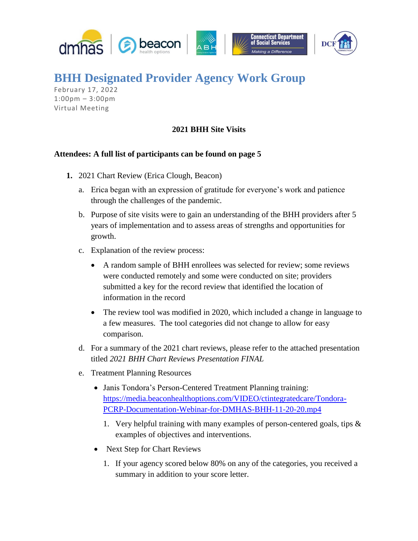

## **BHH Designated Provider Agency Work Group**

February 17, 2022 1:00pm – 3:00pm Virtual Meeting

## **2021 BHH Site Visits**

## **Attendees: A full list of participants can be found on page 5**

- **1.** 2021 Chart Review (Erica Clough, Beacon)
	- a. Erica began with an expression of gratitude for everyone's work and patience through the challenges of the pandemic.
	- b. Purpose of site visits were to gain an understanding of the BHH providers after 5 years of implementation and to assess areas of strengths and opportunities for growth.
	- c. Explanation of the review process:
		- A random sample of BHH enrollees was selected for review; some reviews were conducted remotely and some were conducted on site; providers submitted a key for the record review that identified the location of information in the record
		- The review tool was modified in 2020, which included a change in language to a few measures. The tool categories did not change to allow for easy comparison.
	- d. For a summary of the 2021 chart reviews, please refer to the attached presentation titled *2021 BHH Chart Reviews Presentation FINAL*
	- e. Treatment Planning Resources
		- Janis Tondora's Person-Centered Treatment Planning training: [https://media.beaconhealthoptions.com/VIDEO/ctintegratedcare/Tondora-](https://media.beaconhealthoptions.com/VIDEO/ctintegratedcare/Tondora-PCRP-Documentation-Webinar-for-DMHAS-BHH-11-20-20.mp4)[PCRP-Documentation-Webinar-for-DMHAS-BHH-11-20-20.mp4](https://media.beaconhealthoptions.com/VIDEO/ctintegratedcare/Tondora-PCRP-Documentation-Webinar-for-DMHAS-BHH-11-20-20.mp4)
			- 1. Very helpful training with many examples of person-centered goals, tips & examples of objectives and interventions.
		- Next Step for Chart Reviews
			- 1. If your agency scored below 80% on any of the categories, you received a summary in addition to your score letter.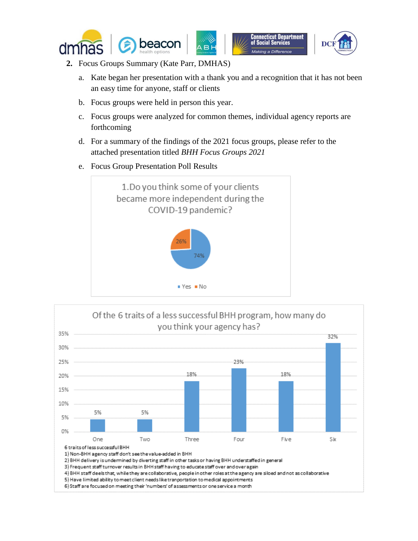





- **2.** Focus Groups Summary (Kate Parr, DMHAS)
	- a. Kate began her presentation with a thank you and a recognition that it has not been an easy time for anyone, staff or clients
	- b. Focus groups were held in person this year.
	- c. Focus groups were analyzed for common themes, individual agency reports are forthcoming
	- d. For a summary of the findings of the 2021 focus groups, please refer to the attached presentation titled *BHH Focus Groups 2021*
	- e. Focus Group Presentation Poll Results





6) Staff are focused on meeting their 'numbers' of assessments or one service a month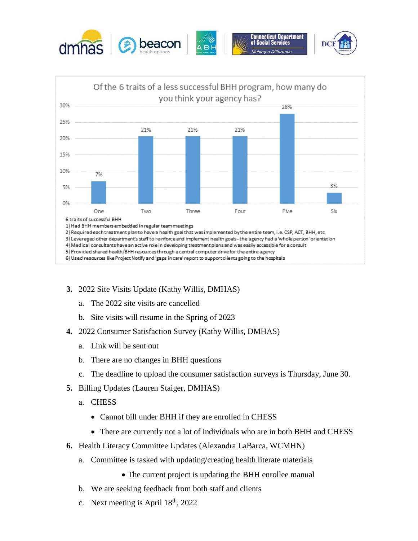



- **3.** 2022 Site Visits Update (Kathy Willis, DMHAS)
	- a. The 2022 site visits are cancelled
	- b. Site visits will resume in the Spring of 2023
- **4.** 2022 Consumer Satisfaction Survey (Kathy Willis, DMHAS)
	- a. Link will be sent out
	- b. There are no changes in BHH questions
	- c. The deadline to upload the consumer satisfaction surveys is Thursday, June 30.
- **5.** Billing Updates (Lauren Staiger, DMHAS)
	- a. CHESS
		- Cannot bill under BHH if they are enrolled in CHESS
		- There are currently not a lot of individuals who are in both BHH and CHESS
- **6.** Health Literacy Committee Updates (Alexandra LaBarca, WCMHN)
	- a. Committee is tasked with updating/creating health literate materials
		- The current project is updating the BHH enrollee manual
	- b. We are seeking feedback from both staff and clients
	- c. Next meeting is April  $18<sup>th</sup>$ , 2022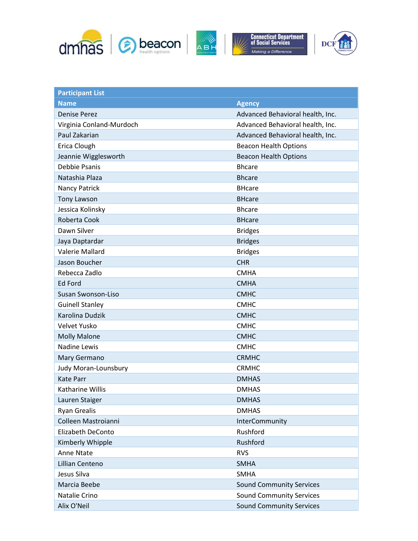





| <b>Participant List</b>  |                                  |
|--------------------------|----------------------------------|
| <b>Name</b>              | <b>Agency</b>                    |
| <b>Denise Perez</b>      | Advanced Behavioral health, Inc. |
| Virginia Conland-Murdoch | Advanced Behavioral health, Inc. |
| Paul Zakarian            | Advanced Behavioral health, Inc. |
| Erica Clough             | <b>Beacon Health Options</b>     |
| Jeannie Wigglesworth     | <b>Beacon Health Options</b>     |
| Debbie Psanis            | <b>Bhcare</b>                    |
| Natashia Plaza           | <b>Bhcare</b>                    |
| Nancy Patrick            | <b>BHcare</b>                    |
| <b>Tony Lawson</b>       | <b>BHcare</b>                    |
| Jessica Kolinsky         | <b>Bhcare</b>                    |
| Roberta Cook             | <b>BHcare</b>                    |
| Dawn Silver              | <b>Bridges</b>                   |
| Jaya Daptardar           | <b>Bridges</b>                   |
| <b>Valerie Mallard</b>   | <b>Bridges</b>                   |
| Jason Boucher            | <b>CHR</b>                       |
| Rebecca Zadlo            | <b>CMHA</b>                      |
| <b>Ed Ford</b>           | <b>CMHA</b>                      |
| Susan Swonson-Liso       | <b>CMHC</b>                      |
| <b>Guinell Stanley</b>   | <b>CMHC</b>                      |
| Karolina Dudzik          | <b>CMHC</b>                      |
| Velvet Yusko             | <b>CMHC</b>                      |
| <b>Molly Malone</b>      | <b>CMHC</b>                      |
| <b>Nadine Lewis</b>      | <b>CMHC</b>                      |
| Mary Germano             | <b>CRMHC</b>                     |
| Judy Moran-Lounsbury     | <b>CRMHC</b>                     |
| <b>Kate Parr</b>         | <b>DMHAS</b>                     |
| Katharine Willis         | <b>DMHAS</b>                     |
| Lauren Staiger           | <b>DMHAS</b>                     |
| <b>Ryan Grealis</b>      | <b>DMHAS</b>                     |
| Colleen Mastroianni      | InterCommunity                   |
| Elizabeth DeConto        | Rushford                         |
| Kimberly Whipple         | Rushford                         |
| Anne Ntate               | <b>RVS</b>                       |
| Lillian Centeno          | <b>SMHA</b>                      |
| Jesus Silva              | <b>SMHA</b>                      |
| Marcia Beebe             | <b>Sound Community Services</b>  |
| Natalie Crino            | <b>Sound Community Services</b>  |
| Alix O'Neil              | <b>Sound Community Services</b>  |